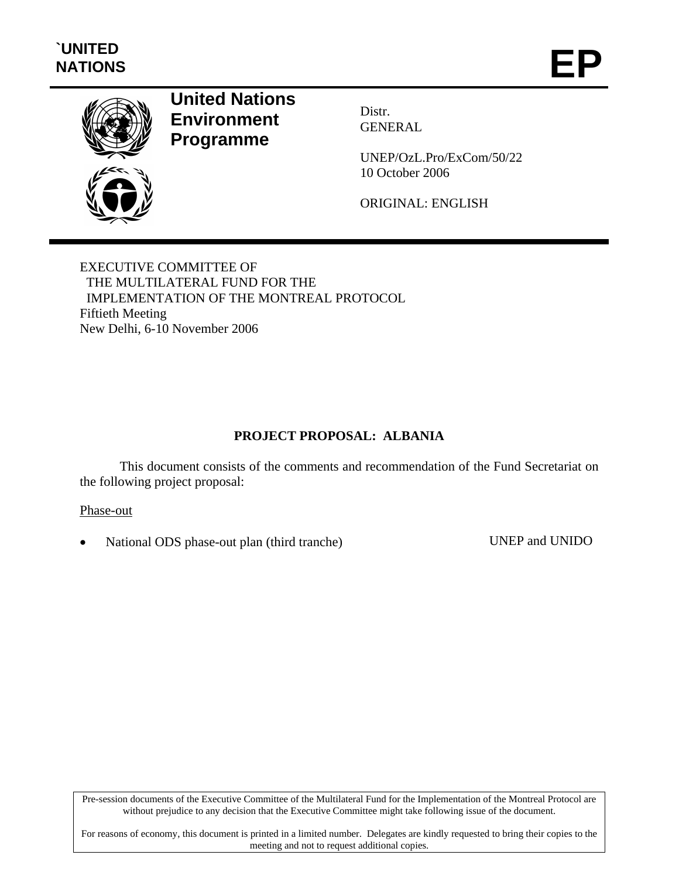

# **United Nations Environment Programme**

Distr. GENERAL

UNEP/OzL.Pro/ExCom/50/22 10 October 2006

ORIGINAL: ENGLISH

EXECUTIVE COMMITTEE OF THE MULTILATERAL FUND FOR THE IMPLEMENTATION OF THE MONTREAL PROTOCOL Fiftieth Meeting New Delhi, 6-10 November 2006

## **PROJECT PROPOSAL: ALBANIA**

This document consists of the comments and recommendation of the Fund Secretariat on the following project proposal:

Phase-out

• National ODS phase-out plan (third tranche) UNEP and UNIDO

Pre-session documents of the Executive Committee of the Multilateral Fund for the Implementation of the Montreal Protocol are without prejudice to any decision that the Executive Committee might take following issue of the document.

For reasons of economy, this document is printed in a limited number. Delegates are kindly requested to bring their copies to the meeting and not to request additional copies.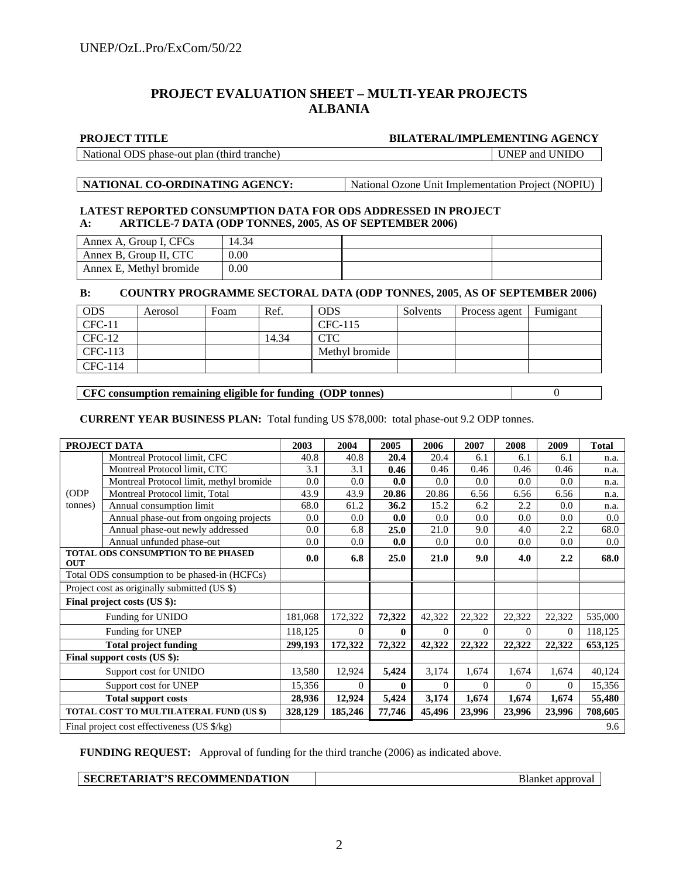## **PROJECT EVALUATION SHEET – MULTI-YEAR PROJECTS ALBANIA**

#### **PROJECT TITLE BILATERAL/IMPLEMENTING AGENCY**

National ODS phase-out plan (third tranche) UNEP and UNIDO

**NATIONAL CO-ORDINATING AGENCY:** National Ozone Unit Implementation Project (NOPIU)

#### **LATEST REPORTED CONSUMPTION DATA FOR ODS ADDRESSED IN PROJECT A: ARTICLE-7 DATA (ODP TONNES, 2005**, **AS OF SEPTEMBER 2006)**

| Annex A, Group I, CFCs  | 14.34 |  |
|-------------------------|-------|--|
| Annex B, Group II, CTC  | 0.00  |  |
| Annex E, Methyl bromide | 0.00  |  |

### **B: COUNTRY PROGRAMME SECTORAL DATA (ODP TONNES, 2005**, **AS OF SEPTEMBER 2006)**

| <b>ODS</b> | Aerosol | Foam | Ref.  | <b>ODS</b>     | Solvents | Process agent | Fumigant |
|------------|---------|------|-------|----------------|----------|---------------|----------|
| $CFC-11$   |         |      |       | CFC-115        |          |               |          |
| $CFC-12$   |         |      | 14.34 | CTC            |          |               |          |
| CFC-113    |         |      |       | Methyl bromide |          |               |          |
| CFC-114    |         |      |       |                |          |               |          |

#### **CFC consumption remaining eligible for funding (ODP tonnes)** 0

**CURRENT YEAR BUSINESS PLAN:** Total funding US \$78,000: total phase-out 9.2 ODP tonnes.

| PROJECT DATA                                     |                                               | 2003    | 2004     | 2005         | 2006     | 2007     | 2008     | 2009     | <b>Total</b> |
|--------------------------------------------------|-----------------------------------------------|---------|----------|--------------|----------|----------|----------|----------|--------------|
|                                                  | Montreal Protocol limit, CFC                  | 40.8    | 40.8     | 20.4         | 20.4     | 6.1      | 6.1      | 6.1      | n.a.         |
|                                                  | Montreal Protocol limit, CTC                  | 3.1     | 3.1      | 0.46         | 0.46     | 0.46     | 0.46     | 0.46     | n.a.         |
|                                                  | Montreal Protocol limit, methyl bromide       | 0.0     | 0.0      | 0.0          | 0.0      | 0.0      | 0.0      | 0.0      | n.a.         |
| (ODP)                                            | Montreal Protocol limit, Total                | 43.9    | 43.9     | 20.86        | 20.86    | 6.56     | 6.56     | 6.56     | n.a.         |
| (tonnes)                                         | Annual consumption limit                      | 68.0    | 61.2     | 36.2         | 15.2     | 6.2      | 2.2      | 0.0      | n.a.         |
|                                                  | Annual phase-out from ongoing projects        | $0.0\,$ | 0.0      | 0.0          | 0.0      | 0.0      | 0.0      | 0.0      | $0.0\,$      |
|                                                  | Annual phase-out newly addressed              | 0.0     | 6.8      | 25.0         | 21.0     | 9.0      | 4.0      | 2.2      | 68.0         |
|                                                  | Annual unfunded phase-out                     | 0.0     | 0.0      | 0.0          | 0.0      | 0.0      | 0.0      | 0.0      | $0.0\,$      |
| TOTAL ODS CONSUMPTION TO BE PHASED<br><b>OUT</b> |                                               | 0.0     | 6.8      | 25.0         | 21.0     | 9.0      | 4.0      | 2.2      | 68.0         |
|                                                  | Total ODS consumption to be phased-in (HCFCs) |         |          |              |          |          |          |          |              |
| Project cost as originally submitted (US \$)     |                                               |         |          |              |          |          |          |          |              |
| Final project costs (US \$):                     |                                               |         |          |              |          |          |          |          |              |
|                                                  | Funding for UNIDO                             | 181,068 | 172,322  | 72,322       | 42,322   | 22,322   | 22,322   | 22,322   | 535,000      |
| Funding for UNEP                                 |                                               | 118,125 | $\Omega$ | $\mathbf{0}$ | $\Omega$ | $\Omega$ | $\Omega$ | $\Omega$ | 118,125      |
| <b>Total project funding</b>                     |                                               | 299,193 | 172,322  | 72,322       | 42,322   | 22,322   | 22,322   | 22,322   | 653,125      |
| Final support costs (US \$):                     |                                               |         |          |              |          |          |          |          |              |
| Support cost for UNIDO                           |                                               | 13,580  | 12,924   | 5,424        | 3,174    | 1,674    | 1,674    | 1,674    | 40,124       |
| Support cost for UNEP                            |                                               | 15,356  | $\Omega$ | $\mathbf{0}$ | $\Omega$ | $\Omega$ | $\Omega$ | $\theta$ | 15,356       |
| <b>Total support costs</b>                       |                                               | 28,936  | 12,924   | 5,424        | 3,174    | 1,674    | 1,674    | 1,674    | 55,480       |
|                                                  | TOTAL COST TO MULTILATERAL FUND (US \$)       | 328,129 | 185,246  | 77,746       | 45,496   | 23,996   | 23,996   | 23,996   | 708,605      |
| Final project cost effectiveness (US \$/kg)      |                                               |         |          |              |          | 9.6      |          |          |              |

**FUNDING REQUEST:** Approval of funding for the third tranche (2006) as indicated above.

**Blanket approval**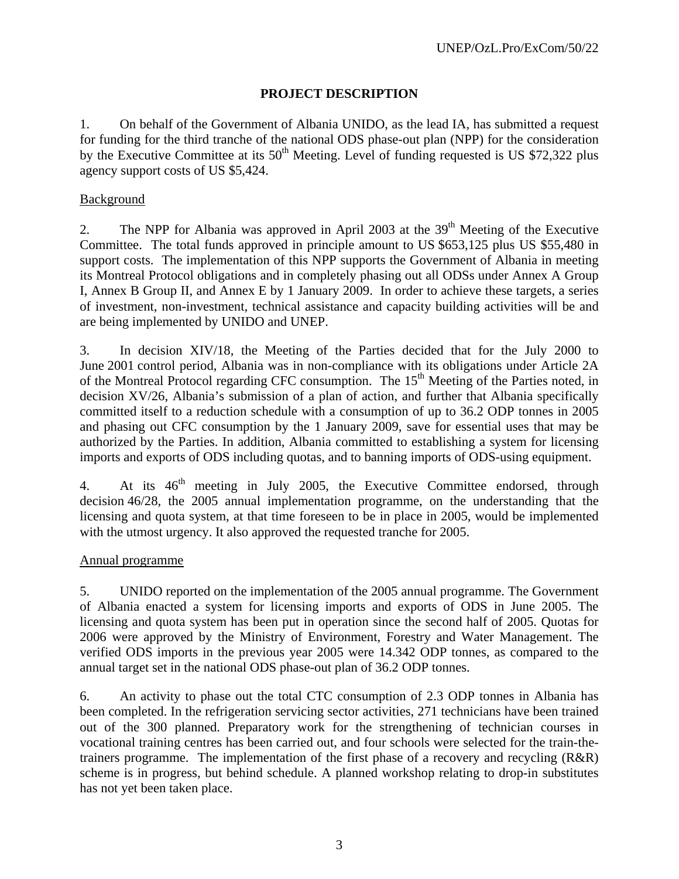## **PROJECT DESCRIPTION**

1. On behalf of the Government of Albania UNIDO, as the lead IA, has submitted a request for funding for the third tranche of the national ODS phase-out plan (NPP) for the consideration by the Executive Committee at its  $50<sup>th</sup>$  Meeting. Level of funding requested is US \$72,322 plus agency support costs of US \$5,424.

## Background

2. The NPP for Albania was approved in April 2003 at the  $39<sup>th</sup>$  Meeting of the Executive Committee. The total funds approved in principle amount to US \$653,125 plus US \$55,480 in support costs. The implementation of this NPP supports the Government of Albania in meeting its Montreal Protocol obligations and in completely phasing out all ODSs under Annex A Group I, Annex B Group II, and Annex E by 1 January 2009. In order to achieve these targets, a series of investment, non-investment, technical assistance and capacity building activities will be and are being implemented by UNIDO and UNEP.

3. In decision XIV/18, the Meeting of the Parties decided that for the July 2000 to June 2001 control period, Albania was in non-compliance with its obligations under Article 2A of the Montreal Protocol regarding CFC consumption. The 15<sup>th</sup> Meeting of the Parties noted, in decision XV/26, Albania's submission of a plan of action, and further that Albania specifically committed itself to a reduction schedule with a consumption of up to 36.2 ODP tonnes in 2005 and phasing out CFC consumption by the 1 January 2009, save for essential uses that may be authorized by the Parties. In addition, Albania committed to establishing a system for licensing imports and exports of ODS including quotas, and to banning imports of ODS-using equipment.

4. At its  $46<sup>th</sup>$  meeting in July 2005, the Executive Committee endorsed, through decision 46/28, the 2005 annual implementation programme, on the understanding that the licensing and quota system, at that time foreseen to be in place in 2005, would be implemented with the utmost urgency. It also approved the requested tranche for 2005.

## Annual programme

5. UNIDO reported on the implementation of the 2005 annual programme. The Government of Albania enacted a system for licensing imports and exports of ODS in June 2005. The licensing and quota system has been put in operation since the second half of 2005. Quotas for 2006 were approved by the Ministry of Environment, Forestry and Water Management. The verified ODS imports in the previous year 2005 were 14.342 ODP tonnes, as compared to the annual target set in the national ODS phase-out plan of 36.2 ODP tonnes.

6. An activity to phase out the total CTC consumption of 2.3 ODP tonnes in Albania has been completed. In the refrigeration servicing sector activities, 271 technicians have been trained out of the 300 planned. Preparatory work for the strengthening of technician courses in vocational training centres has been carried out, and four schools were selected for the train-thetrainers programme. The implementation of the first phase of a recovery and recycling (R&R) scheme is in progress, but behind schedule. A planned workshop relating to drop-in substitutes has not yet been taken place.